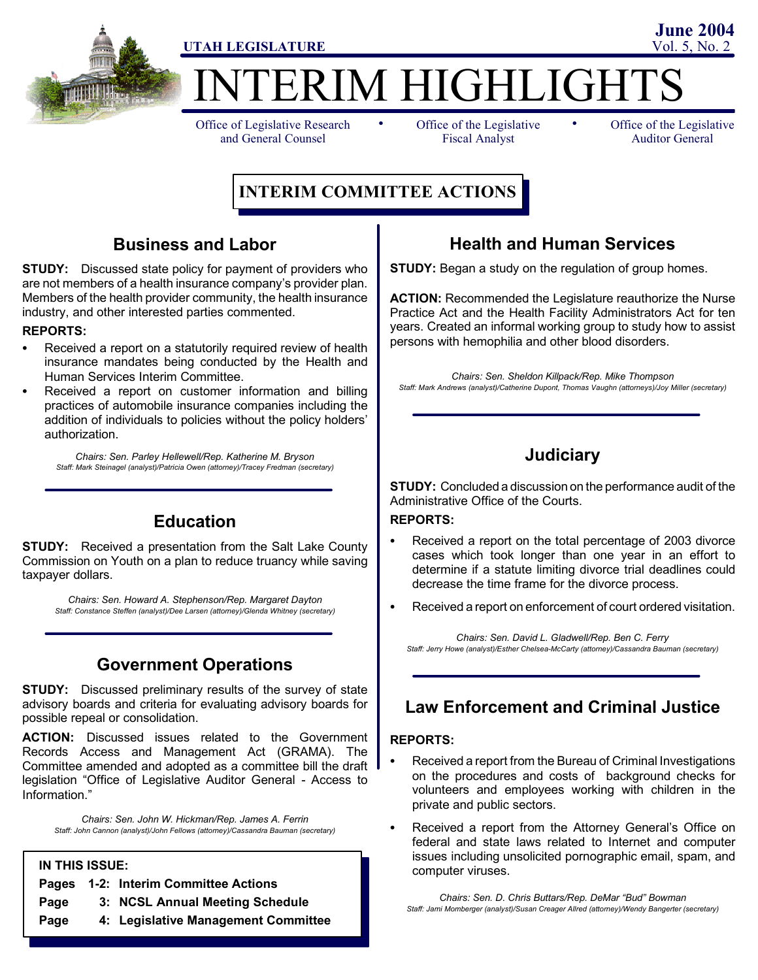

**TERIM HIGHLIGHTS** 

Office of Legislative Research and General Counsel

• Office of the Legislative • Fiscal Analyst

Office of the Legislative Auditor General

# **INTERIM COMMITTEE ACTIONS**

## **Business and Labor**

**STUDY:** Discussed state policy for payment of providers who are not members of a health insurance company's provider plan. Members of the health provider community, the health insurance industry, and other interested parties commented.

#### **REPORTS:**

- Received a report on a statutorily required review of health insurance mandates being conducted by the Health and Human Services Interim Committee.
- Received a report on customer information and billing practices of automobile insurance companies including the addition of individuals to policies without the policy holders' authorization.

*Chairs: Sen. Parley Hellewell/Rep. Katherine M. Bryson Staff: Mark Steinagel (analyst)/Patricia Owen (attorney)/Tracey Fredman (secretary)*

## **Education**

**STUDY:** Received a presentation from the Salt Lake County Commission on Youth on a plan to reduce truancy while saving taxpayer dollars.

*Chairs: Sen. Howard A. Stephenson/Rep. Margaret Dayton Staff: Constance Steffen (analyst)/Dee Larsen (attorney)/Glenda Whitney (secretary)*

## **Government Operations**

**STUDY:** Discussed preliminary results of the survey of state advisory boards and criteria for evaluating advisory boards for possible repeal or consolidation.

**ACTION:** Discussed issues related to the Government Records Access and Management Act (GRAMA). The Committee amended and adopted as a committee bill the draft legislation "Office of Legislative Auditor General - Access to Information."

*Chairs: Sen. John W. Hickman/Rep. James A. Ferrin Staff: John Cannon (analyst)/John Fellows (attorney)/Cassandra Bauman (secretary)*

#### **IN THIS ISSUE:**

- **Pages 1-2: Interim Committee Actions**
- **Page 3: NCSL Annual Meeting Schedule**
- **Page 4: Legislative Management Committee**

## **Health and Human Services**

**STUDY:** Began a study on the regulation of group homes.

**ACTION:** Recommended the Legislature reauthorize the Nurse Practice Act and the Health Facility Administrators Act for ten years. Created an informal working group to study how to assist persons with hemophilia and other blood disorders.

*Chairs: Sen. Sheldon Killpack/Rep. Mike Thompson Staff: Mark Andrews (analyst)/Catherine Dupont, Thomas Vaughn (attorneys)/Joy Miller (secretary)*

## **Judiciary**

**STUDY:** Concluded a discussion on the performance audit of the Administrative Office of the Courts.

#### **REPORTS:**

- Received a report on the total percentage of 2003 divorce cases which took longer than one year in an effort to determine if a statute limiting divorce trial deadlines could decrease the time frame for the divorce process.
- Received a report on enforcement of court ordered visitation.

*Chairs: Sen. David L. Gladwell/Rep. Ben C. Ferry Staff: Jerry Howe (analyst)/Esther Chelsea-McCarty (attorney)/Cassandra Bauman (secretary)*

## **Law Enforcement and Criminal Justice**

#### **REPORTS:**

- Received a report from the Bureau of Criminal Investigations on the procedures and costs of background checks for volunteers and employees working with children in the private and public sectors.
- Received a report from the Attorney General's Office on federal and state laws related to Internet and computer issues including unsolicited pornographic email, spam, and computer viruses.

*Chairs: Sen. D. Chris Buttars/Rep. DeMar "Bud" Bowman Staff: Jami Momberger (analyst)/Susan Creager Allred (attorney)/Wendy Bangerter (secretary)*

**UTAH LEGISLATURE** Vol. 5, No. 2 **June 2004**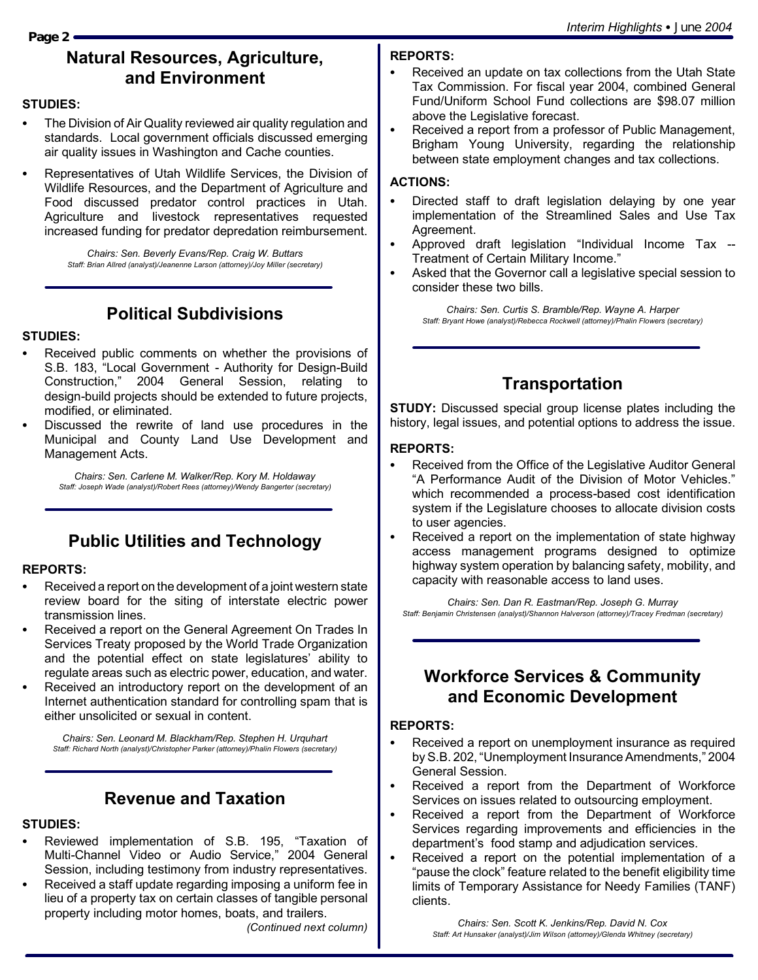#### **Page 2**

## **Natural Resources, Agriculture, and Environment**

#### **STUDIES:**

- The Division of Air Quality reviewed air quality regulation and standards. Local government officials discussed emerging air quality issues in Washington and Cache counties.
- Representatives of Utah Wildlife Services, the Division of Wildlife Resources, and the Department of Agriculture and Food discussed predator control practices in Utah. Agriculture and livestock representatives requested increased funding for predator depredation reimbursement.

*Chairs: Sen. Beverly Evans/Rep. Craig W. Buttars Staff: Brian Allred (analyst)/Jeanenne Larson (attorney)/Joy Miller (secretary)*

## **Political Subdivisions**

#### **STUDIES:**

- Received public comments on whether the provisions of S.B. 183, "Local Government - Authority for Design-Build Construction," 2004 General Session, relating to design-build projects should be extended to future projects, modified, or eliminated.
- Discussed the rewrite of land use procedures in the Municipal and County Land Use Development and Management Acts.

*Chairs: Sen. Carlene M. Walker/Rep. Kory M. Holdaway Staff: Joseph Wade (analyst)/Robert Rees (attorney)/Wendy Bangerter (secretary)*

## **Public Utilities and Technology**

#### **REPORTS:**

- Received a report on the development of a joint western state review board for the siting of interstate electric power transmission lines.
- Received a report on the General Agreement On Trades In Services Treaty proposed by the World Trade Organization and the potential effect on state legislatures' ability to regulate areas such as electric power, education, and water.
- Received an introductory report on the development of an Internet authentication standard for controlling spam that is either unsolicited or sexual in content.

*Chairs: Sen. Leonard M. Blackham/Rep. Stephen H. Urquhart Staff: Richard North (analyst)/Christopher Parker (attorney)/Phalin Flowers (secretary)*

## **Revenue and Taxation**

## **STUDIES:**

- Reviewed implementation of S.B. 195, "Taxation of Multi-Channel Video or Audio Service," 2004 General Session, including testimony from industry representatives.
- Received a staff update regarding imposing a uniform fee in lieu of a property tax on certain classes of tangible personal property including motor homes, boats, and trailers.

*(Continued next column)*

## **REPORTS:**

- Received an update on tax collections from the Utah State Tax Commission. For fiscal year 2004, combined General Fund/Uniform School Fund collections are \$98.07 million above the Legislative forecast.
- Received a report from a professor of Public Management, Brigham Young University, regarding the relationship between state employment changes and tax collections.

### **ACTIONS:**

- Directed staff to draft legislation delaying by one year implementation of the Streamlined Sales and Use Tax Agreement.
- Approved draft legislation "Individual Income Tax --Treatment of Certain Military Income."
- Asked that the Governor call a legislative special session to consider these two bills.

*Chairs: Sen. Curtis S. Bramble/Rep. Wayne A. Harper Staff: Bryant Howe (analyst)/Rebecca Rockwell (attorney)/Phalin Flowers (secretary)*

# **Transportation**

**STUDY:** Discussed special group license plates including the history, legal issues, and potential options to address the issue.

#### **REPORTS:**

- Received from the Office of the Legislative Auditor General "A Performance Audit of the Division of Motor Vehicles." which recommended a process-based cost identification system if the Legislature chooses to allocate division costs to user agencies.
- Received a report on the implementation of state highway access management programs designed to optimize highway system operation by balancing safety, mobility, and capacity with reasonable access to land uses.

*Chairs: Sen. Dan R. Eastman/Rep. Joseph G. Murray Staff: Benjamin Christensen (analyst)/Shannon Halverson (attorney)/Tracey Fredman (secretary)*

## **Workforce Services & Community and Economic Development**

#### **REPORTS:**

- Received a report on unemployment insurance as required by S.B. 202, "Unemployment Insurance Amendments," 2004 General Session.
- Received a report from the Department of Workforce Services on issues related to outsourcing employment.
- Received a report from the Department of Workforce Services regarding improvements and efficiencies in the department's food stamp and adjudication services.
- Received a report on the potential implementation of a "pause the clock" feature related to the benefit eligibility time limits of Temporary Assistance for Needy Families (TANF) clients.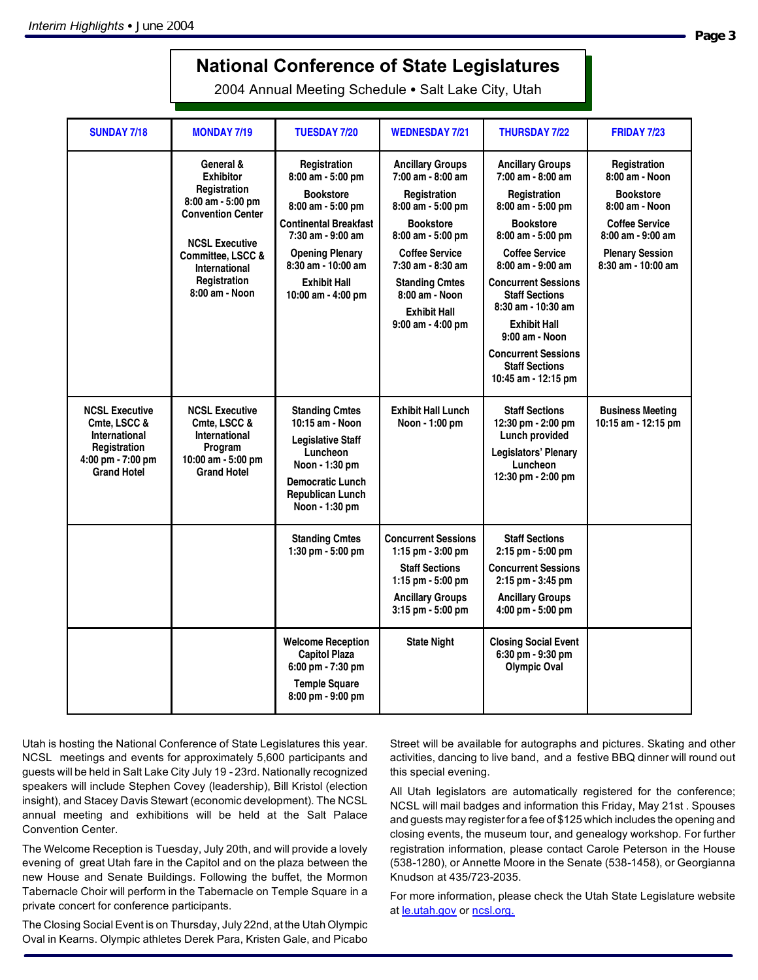# **National Conference of State Legislatures**

2004 Annual Meeting Schedule . Salt Lake City, Utah

| <b>SUNDAY 7/18</b>                                                                                                | <b>MONDAY 7/19</b>                                                                                                                                                                                     | <b>TUESDAY 7/20</b>                                                                                                                                                                                                   | <b>WEDNESDAY 7/21</b>                                                                                                                                                                                                                                              | <b>THURSDAY 7/22</b>                                                                                                                                                                                                                                                                                                                                                               | <b>FRIDAY 7/23</b>                                                                                                                                                     |
|-------------------------------------------------------------------------------------------------------------------|--------------------------------------------------------------------------------------------------------------------------------------------------------------------------------------------------------|-----------------------------------------------------------------------------------------------------------------------------------------------------------------------------------------------------------------------|--------------------------------------------------------------------------------------------------------------------------------------------------------------------------------------------------------------------------------------------------------------------|------------------------------------------------------------------------------------------------------------------------------------------------------------------------------------------------------------------------------------------------------------------------------------------------------------------------------------------------------------------------------------|------------------------------------------------------------------------------------------------------------------------------------------------------------------------|
|                                                                                                                   | General &<br><b>Exhibitor</b><br>Registration<br>8:00 am - 5:00 pm<br><b>Convention Center</b><br><b>NCSL Executive</b><br>Committee, LSCC &<br><b>International</b><br>Registration<br>8:00 am - Noon | Registration<br>8:00 am - 5:00 pm<br><b>Bookstore</b><br>8:00 am - 5:00 pm<br>Continental Breakfast<br>7:30 am - 9:00 am<br><b>Opening Plenary</b><br>8:30 am - 10:00 am<br><b>Exhibit Hall</b><br>10:00 am - 4:00 pm | <b>Ancillary Groups</b><br>7:00 am - 8:00 am<br>Registration<br>8:00 am - 5:00 pm<br><b>Bookstore</b><br>$8:00$ am $-5:00$ pm<br><b>Coffee Service</b><br>7:30 am - 8:30 am<br><b>Standing Cmtes</b><br>8:00 am - Noon<br><b>Exhibit Hall</b><br>9:00 am - 4:00 pm | <b>Ancillary Groups</b><br>7:00 am - 8:00 am<br>Registration<br>8:00 am - 5:00 pm<br><b>Bookstore</b><br>8:00 am - 5:00 pm<br><b>Coffee Service</b><br>$8:00$ am - $9:00$ am<br><b>Concurrent Sessions</b><br><b>Staff Sections</b><br>$8:30$ am - 10:30 am<br><b>Exhibit Hall</b><br>9:00 am - Noon<br><b>Concurrent Sessions</b><br><b>Staff Sections</b><br>10:45 am - 12:15 pm | Registration<br>8:00 am - Noon<br><b>Bookstore</b><br>8:00 am - Noon<br><b>Coffee Service</b><br>$8:00$ am - $9:00$ am<br><b>Plenary Session</b><br>8:30 am - 10:00 am |
| <b>NCSL Executive</b><br>Cmte. LSCC &<br>International<br>Registration<br>4:00 pm - 7:00 pm<br><b>Grand Hotel</b> | <b>NCSL Executive</b><br>Cmte. LSCC &<br>International<br>Program<br>10:00 am - 5:00 pm<br><b>Grand Hotel</b>                                                                                          | <b>Standing Cmtes</b><br>10:15 am - Noon<br><b>Legislative Staff</b><br>Luncheon<br>Noon - 1:30 pm<br><b>Democratic Lunch</b><br><b>Republican Lunch</b><br>Noon - 1:30 pm                                            | <b>Exhibit Hall Lunch</b><br>Noon - 1:00 pm                                                                                                                                                                                                                        | <b>Staff Sections</b><br>12:30 pm - 2:00 pm<br>Lunch provided<br>Legislators' Plenary<br>Luncheon<br>12:30 pm - 2:00 pm                                                                                                                                                                                                                                                            | <b>Business Meeting</b><br>10:15 am - 12:15 pm                                                                                                                         |
|                                                                                                                   |                                                                                                                                                                                                        | <b>Standing Cmtes</b><br>1:30 pm - 5:00 pm                                                                                                                                                                            | <b>Concurrent Sessions</b><br>1:15 pm $-$ 3:00 pm<br><b>Staff Sections</b><br>1:15 pm $-5:00$ pm<br><b>Ancillary Groups</b><br>3:15 pm - 5:00 pm                                                                                                                   | <b>Staff Sections</b><br>2:15 pm - 5:00 pm<br><b>Concurrent Sessions</b><br>2:15 pm - 3:45 pm<br><b>Ancillary Groups</b><br>4:00 pm - 5:00 pm                                                                                                                                                                                                                                      |                                                                                                                                                                        |
|                                                                                                                   |                                                                                                                                                                                                        | <b>Welcome Reception</b><br><b>Capitol Plaza</b><br>6:00 pm - 7:30 pm<br><b>Temple Square</b><br>8:00 pm - 9:00 pm                                                                                                    | <b>State Night</b>                                                                                                                                                                                                                                                 | <b>Closing Social Event</b><br>6:30 pm - 9:30 pm<br><b>Olympic Oval</b>                                                                                                                                                                                                                                                                                                            |                                                                                                                                                                        |

Utah is hosting the National Conference of State Legislatures this year. NCSL meetings and events for approximately 5,600 participants and guests will be held in Salt Lake City July 19 - 23rd. Nationally recognized speakers will include Stephen Covey (leadership), Bill Kristol (election insight), and Stacey Davis Stewart (economic development). The NCSL annual meeting and exhibitions will be held at the Salt Palace Convention Center.

The Welcome Reception is Tuesday, July 20th, and will provide a lovely evening of great Utah fare in the Capitol and on the plaza between the new House and Senate Buildings. Following the buffet, the Mormon Tabernacle Choir will perform in the Tabernacle on Temple Square in a private concert for conference participants.

The Closing Social Event is on Thursday, July 22nd, at the Utah Olympic Oval in Kearns. Olympic athletes Derek Para, Kristen Gale, and Picabo

Street will be available for autographs and pictures. Skating and other activities, dancing to live band, and a festive BBQ dinner will round out this special evening.

All Utah legislators are automatically registered for the conference; NCSL will mail badges and information this Friday, May 21st . Spouses and guests may register for a fee of \$125 which includes the opening and closing events, the museum tour, and genealogy workshop. For further registration information, please contact Carole Peterson in the House (538-1280), or Annette Moore in the Senate (538-1458), or Georgianna Knudson at 435/723-2035.

For more information, please check the Utah State Legislature website at le.utah.gov or ncsl.org.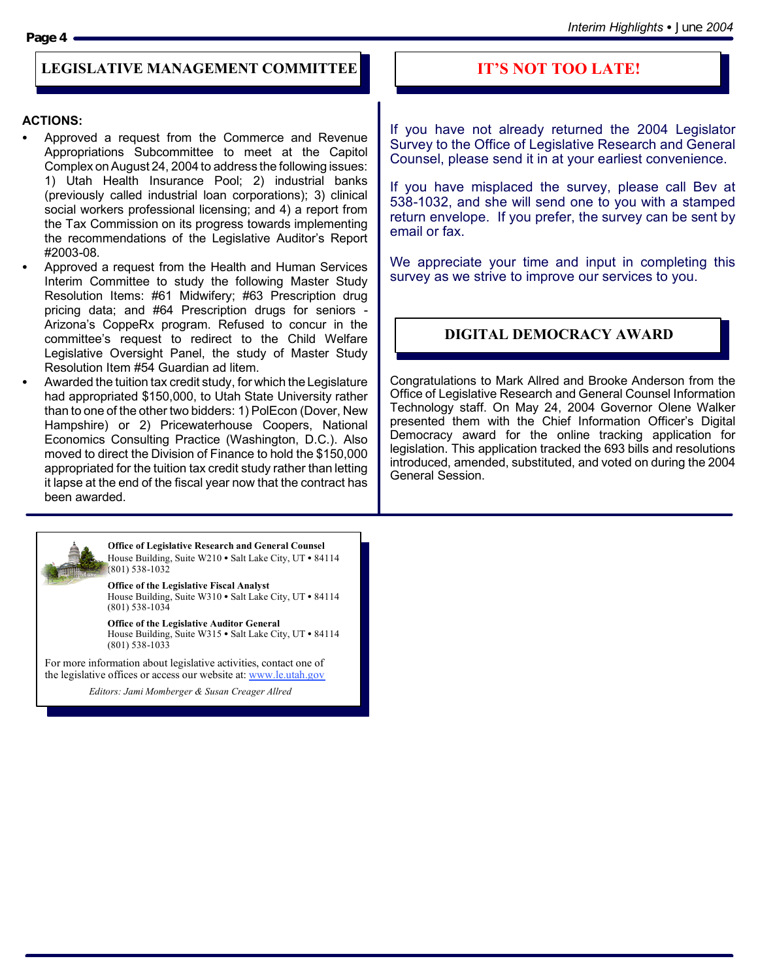#### **Page 4**

## **LEGISLATIVE MANAGEMENT COMMITTEE**

#### **ACTIONS:**

- Approved a request from the Commerce and Revenue Appropriations Subcommittee to meet at the Capitol Complex on August 24, 2004 to address the following issues: 1) Utah Health Insurance Pool; 2) industrial banks (previously called industrial loan corporations); 3) clinical social workers professional licensing; and 4) a report from the Tax Commission on its progress towards implementing the recommendations of the Legislative Auditor's Report #2003-08.
- Approved a request from the Health and Human Services Interim Committee to study the following Master Study Resolution Items: #61 Midwifery; #63 Prescription drug pricing data; and #64 Prescription drugs for seniors - Arizona's CoppeRx program. Refused to concur in the committee's request to redirect to the Child Welfare Legislative Oversight Panel, the study of Master Study Resolution Item #54 Guardian ad litem.
- Awarded the tuition tax credit study, for which the Legislature had appropriated \$150,000, to Utah State University rather than to one of the other two bidders: 1) PolEcon (Dover, New Hampshire) or 2) Pricewaterhouse Coopers, National Economics Consulting Practice (Washington, D.C.). Also moved to direct the Division of Finance to hold the \$150,000 appropriated for the tuition tax credit study rather than letting it lapse at the end of the fiscal year now that the contract has been awarded.

#### **Office of Legislative Research and General Counsel** House Building, Suite W210 · Salt Lake City, UT · 84114 (801) 538-1032

**Office of the Legislative Fiscal Analyst** House Building, Suite W310 · Salt Lake City, UT · 84114 (801) 538-1034

**Office of the Legislative Auditor General** House Building, Suite W315 • Salt Lake City, UT • 84114 (801) 538-1033

For more information about legislative activities, contact one of the legislative offices or access our website at: www.le.utah.gov

*Editors: Jami Momberger & Susan Creager Allred*

## **IT'S NOT TOO LATE!**

If you have not already returned the 2004 Legislator Survey to the Office of Legislative Research and General Counsel, please send it in at your earliest convenience.

If you have misplaced the survey, please call Bev at 538-1032, and she will send one to you with a stamped return envelope. If you prefer, the survey can be sent by email or fax.

We appreciate your time and input in completing this survey as we strive to improve our services to you.

## **DIGITAL DEMOCRACY AWARD**

Congratulations to Mark Allred and Brooke Anderson from the Office of Legislative Research and General Counsel Information Technology staff. On May 24, 2004 Governor Olene Walker presented them with the Chief Information Officer's Digital Democracy award for the online tracking application for legislation. This application tracked the 693 bills and resolutions introduced, amended, substituted, and voted on during the 2004 General Session.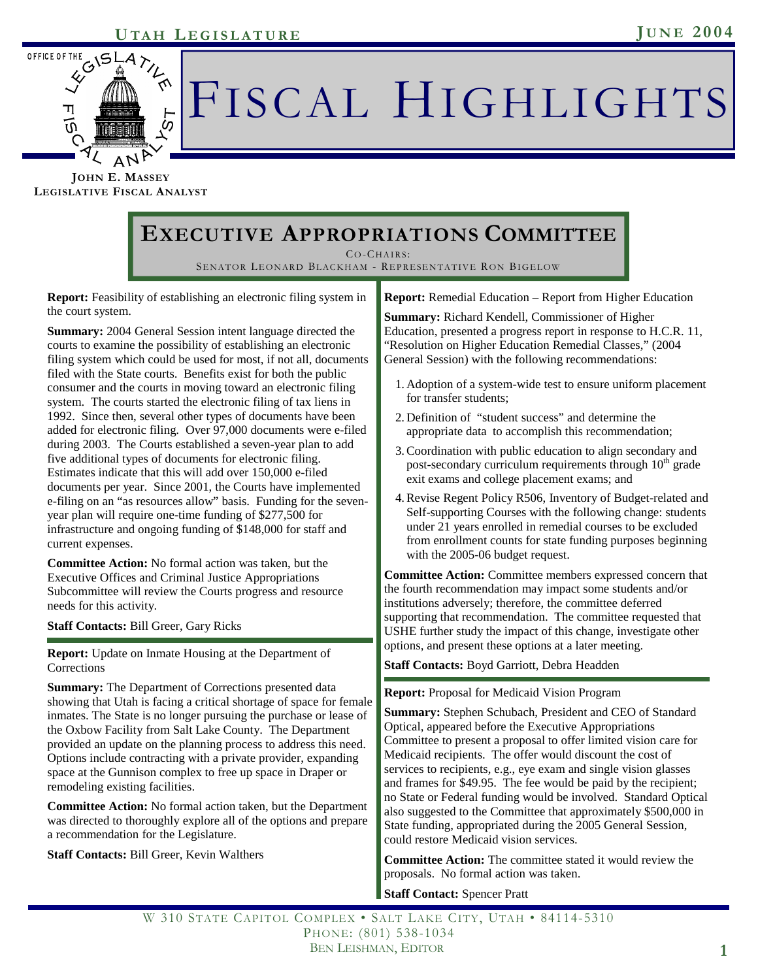

# FISCAL HIGHLIGHTS

**JOHN E. MASSEY LEGISLATIVE FISCAL ANALYST**

# **EXECUTIVE APPROPRIATIONS COMMITTEE**

CO-CHAIRS:

SENATOR LEONARD BLACKHAM - REPRESENTATIVE RON BIGELOW

**Report:** Feasibility of establishing an electronic filing system in the court system.

**Summary:** 2004 General Session intent language directed the courts to examine the possibility of establishing an electronic filing system which could be used for most, if not all, documents filed with the State courts. Benefits exist for both the public consumer and the courts in moving toward an electronic filing system. The courts started the electronic filing of tax liens in 1992. Since then, several other types of documents have been added for electronic filing. Over 97,000 documents were e-filed during 2003. The Courts established a seven-year plan to add five additional types of documents for electronic filing. Estimates indicate that this will add over 150,000 e-filed documents per year. Since 2001, the Courts have implemented e-filing on an "as resources allow" basis. Funding for the sevenyear plan will require one-time funding of \$277,500 for infrastructure and ongoing funding of \$148,000 for staff and current expenses.

**Committee Action:** No formal action was taken, but the Executive Offices and Criminal Justice Appropriations Subcommittee will review the Courts progress and resource needs for this activity.

**Staff Contacts:** Bill Greer, Gary Ricks

**Report:** Update on Inmate Housing at the Department of Corrections

**Summary:** The Department of Corrections presented data showing that Utah is facing a critical shortage of space for female inmates. The State is no longer pursuing the purchase or lease of the Oxbow Facility from Salt Lake County. The Department provided an update on the planning process to address this need. Options include contracting with a private provider, expanding space at the Gunnison complex to free up space in Draper or remodeling existing facilities.

**Committee Action:** No formal action taken, but the Department was directed to thoroughly explore all of the options and prepare a recommendation for the Legislature.

**Staff Contacts:** Bill Greer, Kevin Walthers

**Report:** Remedial Education – Report from Higher Education

**Summary:** Richard Kendell, Commissioner of Higher Education, presented a progress report in response to H.C.R. 11, "Resolution on Higher Education Remedial Classes," (2004 General Session) with the following recommendations:

- 1. Adoption of a system-wide test to ensure uniform placement for transfer students;
- 2. Definition of "student success" and determine the appropriate data to accomplish this recommendation;
- 3. Coordination with public education to align secondary and post-secondary curriculum requirements through  $10<sup>th</sup>$  grade exit exams and college placement exams; and
- 4. Revise Regent Policy R506, Inventory of Budget-related and Self-supporting Courses with the following change: students under 21 years enrolled in remedial courses to be excluded from enrollment counts for state funding purposes beginning with the 2005-06 budget request.

**Committee Action:** Committee members expressed concern that the fourth recommendation may impact some students and/or institutions adversely; therefore, the committee deferred supporting that recommendation. The committee requested that USHE further study the impact of this change, investigate other options, and present these options at a later meeting.

**Staff Contacts:** Boyd Garriott, Debra Headden

#### **Report:** Proposal for Medicaid Vision Program

**Summary:** Stephen Schubach, President and CEO of Standard Optical, appeared before the Executive Appropriations Committee to present a proposal to offer limited vision care for Medicaid recipients. The offer would discount the cost of services to recipients, e.g., eye exam and single vision glasses and frames for \$49.95. The fee would be paid by the recipient; no State or Federal funding would be involved. Standard Optical also suggested to the Committee that approximately \$500,000 in State funding, appropriated during the 2005 General Session, could restore Medicaid vision services.

**Committee Action:** The committee stated it would review the proposals. No formal action was taken.

#### **Staff Contact: Spencer Pratt**